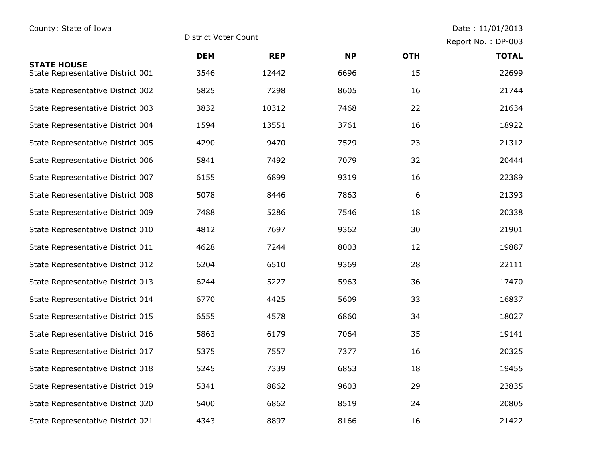## County: State of Iowa District Voter Count Count Date : 11/01/2013

Report No. : DP-003

|                                                         | <b>DEM</b> | <b>REP</b> | <b>NP</b> | <b>OTH</b> | <b>TOTAL</b> |
|---------------------------------------------------------|------------|------------|-----------|------------|--------------|
| <b>STATE HOUSE</b><br>State Representative District 001 | 3546       | 12442      | 6696      | 15         | 22699        |
| State Representative District 002                       | 5825       | 7298       | 8605      | 16         | 21744        |
| State Representative District 003                       | 3832       | 10312      | 7468      | 22         | 21634        |
| State Representative District 004                       | 1594       | 13551      | 3761      | 16         | 18922        |
| State Representative District 005                       | 4290       | 9470       | 7529      | 23         | 21312        |
| State Representative District 006                       | 5841       | 7492       | 7079      | 32         | 20444        |
| State Representative District 007                       | 6155       | 6899       | 9319      | 16         | 22389        |
| State Representative District 008                       | 5078       | 8446       | 7863      | 6          | 21393        |
| State Representative District 009                       | 7488       | 5286       | 7546      | 18         | 20338        |
| State Representative District 010                       | 4812       | 7697       | 9362      | 30         | 21901        |
| State Representative District 011                       | 4628       | 7244       | 8003      | 12         | 19887        |
| State Representative District 012                       | 6204       | 6510       | 9369      | 28         | 22111        |
| State Representative District 013                       | 6244       | 5227       | 5963      | 36         | 17470        |
| State Representative District 014                       | 6770       | 4425       | 5609      | 33         | 16837        |
| State Representative District 015                       | 6555       | 4578       | 6860      | 34         | 18027        |
| State Representative District 016                       | 5863       | 6179       | 7064      | 35         | 19141        |
| State Representative District 017                       | 5375       | 7557       | 7377      | 16         | 20325        |
| State Representative District 018                       | 5245       | 7339       | 6853      | 18         | 19455        |
| State Representative District 019                       | 5341       | 8862       | 9603      | 29         | 23835        |
| State Representative District 020                       | 5400       | 6862       | 8519      | 24         | 20805        |
| State Representative District 021                       | 4343       | 8897       | 8166      | 16         | 21422        |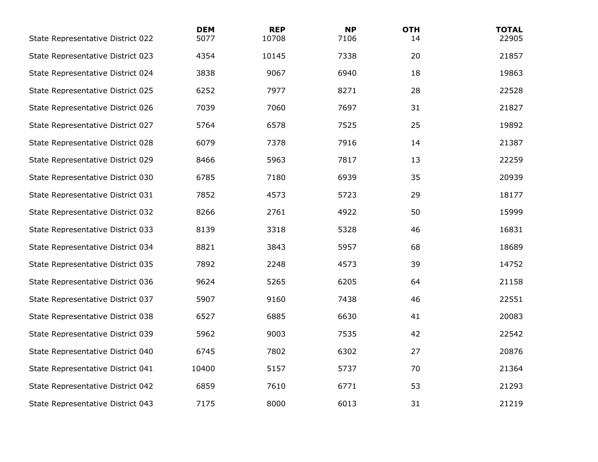| State Representative District 022 | <b>DEM</b><br>5077 | <b>REP</b><br>10708 | <b>NP</b><br>7106 | <b>OTH</b><br>14 | <b>TOTAL</b><br>22905 |
|-----------------------------------|--------------------|---------------------|-------------------|------------------|-----------------------|
| State Representative District 023 | 4354               | 10145               | 7338              | 20               | 21857                 |
| State Representative District 024 | 3838               | 9067                | 6940              | 18               | 19863                 |
| State Representative District 025 | 6252               | 7977                | 8271              | 28               | 22528                 |
| State Representative District 026 | 7039               | 7060                | 7697              | 31               | 21827                 |
| State Representative District 027 | 5764               | 6578                | 7525              | 25               | 19892                 |
| State Representative District 028 | 6079               | 7378                | 7916              | 14               | 21387                 |
| State Representative District 029 | 8466               | 5963                | 7817              | 13               | 22259                 |
| State Representative District 030 | 6785               | 7180                | 6939              | 35               | 20939                 |
| State Representative District 031 | 7852               | 4573                | 5723              | 29               | 18177                 |
| State Representative District 032 | 8266               | 2761                | 4922              | 50               | 15999                 |
| State Representative District 033 | 8139               | 3318                | 5328              | 46               | 16831                 |
| State Representative District 034 | 8821               | 3843                | 5957              | 68               | 18689                 |
| State Representative District 035 | 7892               | 2248                | 4573              | 39               | 14752                 |
| State Representative District 036 | 9624               | 5265                | 6205              | 64               | 21158                 |
| State Representative District 037 | 5907               | 9160                | 7438              | 46               | 22551                 |
| State Representative District 038 | 6527               | 6885                | 6630              | 41               | 20083                 |
| State Representative District 039 | 5962               | 9003                | 7535              | 42               | 22542                 |
| State Representative District 040 | 6745               | 7802                | 6302              | 27               | 20876                 |
| State Representative District 041 | 10400              | 5157                | 5737              | 70               | 21364                 |
| State Representative District 042 | 6859               | 7610                | 6771              | 53               | 21293                 |
| State Representative District 043 | 7175               | 8000                | 6013              | 31               | 21219                 |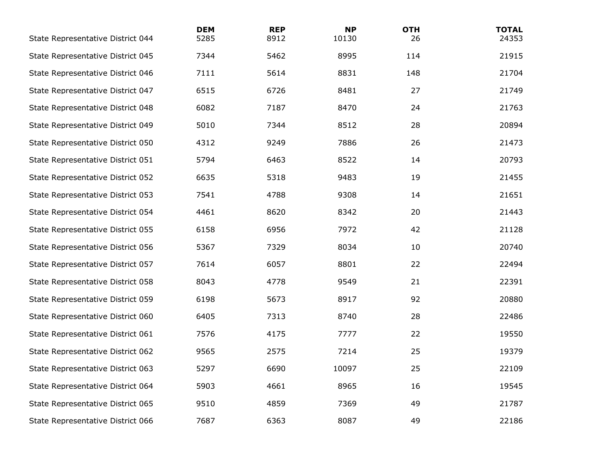| State Representative District 044 | <b>DEM</b><br>5285 | <b>REP</b><br>8912 | <b>NP</b><br>10130 | <b>OTH</b><br>26 | <b>TOTAL</b><br>24353 |
|-----------------------------------|--------------------|--------------------|--------------------|------------------|-----------------------|
| State Representative District 045 | 7344               | 5462               | 8995               | 114              | 21915                 |
| State Representative District 046 | 7111               | 5614               | 8831               | 148              | 21704                 |
| State Representative District 047 | 6515               | 6726               | 8481               | 27               | 21749                 |
| State Representative District 048 | 6082               | 7187               | 8470               | 24               | 21763                 |
| State Representative District 049 | 5010               | 7344               | 8512               | 28               | 20894                 |
| State Representative District 050 | 4312               | 9249               | 7886               | 26               | 21473                 |
| State Representative District 051 | 5794               | 6463               | 8522               | 14               | 20793                 |
| State Representative District 052 | 6635               | 5318               | 9483               | 19               | 21455                 |
| State Representative District 053 | 7541               | 4788               | 9308               | 14               | 21651                 |
| State Representative District 054 | 4461               | 8620               | 8342               | 20               | 21443                 |
| State Representative District 055 | 6158               | 6956               | 7972               | 42               | 21128                 |
| State Representative District 056 | 5367               | 7329               | 8034               | 10               | 20740                 |
| State Representative District 057 | 7614               | 6057               | 8801               | 22               | 22494                 |
| State Representative District 058 | 8043               | 4778               | 9549               | 21               | 22391                 |
| State Representative District 059 | 6198               | 5673               | 8917               | 92               | 20880                 |
| State Representative District 060 | 6405               | 7313               | 8740               | 28               | 22486                 |
| State Representative District 061 | 7576               | 4175               | 7777               | 22               | 19550                 |
| State Representative District 062 | 9565               | 2575               | 7214               | 25               | 19379                 |
| State Representative District 063 | 5297               | 6690               | 10097              | 25               | 22109                 |
| State Representative District 064 | 5903               | 4661               | 8965               | 16               | 19545                 |
| State Representative District 065 | 9510               | 4859               | 7369               | 49               | 21787                 |
| State Representative District 066 | 7687               | 6363               | 8087               | 49               | 22186                 |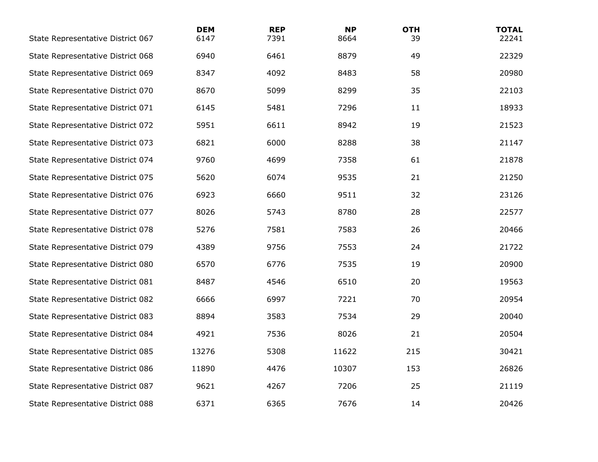| State Representative District 067 | <b>DEM</b><br>6147 | <b>REP</b><br>7391 | <b>NP</b><br>8664 | <b>OTH</b><br>39 | <b>TOTAL</b><br>22241 |
|-----------------------------------|--------------------|--------------------|-------------------|------------------|-----------------------|
| State Representative District 068 | 6940               | 6461               | 8879              | 49               | 22329                 |
| State Representative District 069 | 8347               | 4092               | 8483              | 58               | 20980                 |
| State Representative District 070 | 8670               | 5099               | 8299              | 35               | 22103                 |
| State Representative District 071 | 6145               | 5481               | 7296              | 11               | 18933                 |
| State Representative District 072 | 5951               | 6611               | 8942              | 19               | 21523                 |
| State Representative District 073 | 6821               | 6000               | 8288              | 38               | 21147                 |
| State Representative District 074 | 9760               | 4699               | 7358              | 61               | 21878                 |
| State Representative District 075 | 5620               | 6074               | 9535              | 21               | 21250                 |
| State Representative District 076 | 6923               | 6660               | 9511              | 32               | 23126                 |
| State Representative District 077 | 8026               | 5743               | 8780              | 28               | 22577                 |
| State Representative District 078 | 5276               | 7581               | 7583              | 26               | 20466                 |
| State Representative District 079 | 4389               | 9756               | 7553              | 24               | 21722                 |
| State Representative District 080 | 6570               | 6776               | 7535              | 19               | 20900                 |
| State Representative District 081 | 8487               | 4546               | 6510              | 20               | 19563                 |
| State Representative District 082 | 6666               | 6997               | 7221              | 70               | 20954                 |
| State Representative District 083 | 8894               | 3583               | 7534              | 29               | 20040                 |
| State Representative District 084 | 4921               | 7536               | 8026              | 21               | 20504                 |
| State Representative District 085 | 13276              | 5308               | 11622             | 215              | 30421                 |
| State Representative District 086 | 11890              | 4476               | 10307             | 153              | 26826                 |
| State Representative District 087 | 9621               | 4267               | 7206              | 25               | 21119                 |
| State Representative District 088 | 6371               | 6365               | 7676              | 14               | 20426                 |